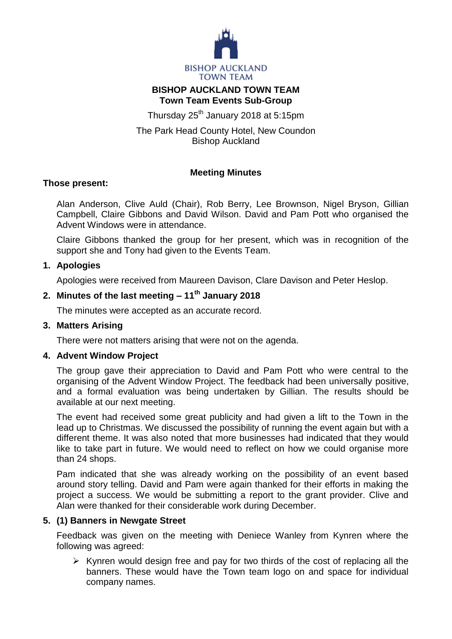

# **BISHOP AUCKLAND TOWN TEAM Town Team Events Sub-Group**

Thursday 25<sup>th</sup> January 2018 at 5:15pm

The Park Head County Hotel, New Coundon Bishop Auckland

# **Meeting Minutes**

## **Those present:**

Alan Anderson, Clive Auld (Chair), Rob Berry, Lee Brownson, Nigel Bryson, Gillian Campbell, Claire Gibbons and David Wilson. David and Pam Pott who organised the Advent Windows were in attendance.

Claire Gibbons thanked the group for her present, which was in recognition of the support she and Tony had given to the Events Team.

## **1. Apologies**

Apologies were received from Maureen Davison, Clare Davison and Peter Heslop.

# **2. Minutes of the last meeting – 11 th January 2018**

The minutes were accepted as an accurate record.

#### **3. Matters Arising**

There were not matters arising that were not on the agenda.

#### **4. Advent Window Project**

The group gave their appreciation to David and Pam Pott who were central to the organising of the Advent Window Project. The feedback had been universally positive, and a formal evaluation was being undertaken by Gillian. The results should be available at our next meeting.

The event had received some great publicity and had given a lift to the Town in the lead up to Christmas. We discussed the possibility of running the event again but with a different theme. It was also noted that more businesses had indicated that they would like to take part in future. We would need to reflect on how we could organise more than 24 shops.

Pam indicated that she was already working on the possibility of an event based around story telling. David and Pam were again thanked for their efforts in making the project a success. We would be submitting a report to the grant provider. Clive and Alan were thanked for their considerable work during December.

#### **5. (1) Banners in Newgate Street**

Feedback was given on the meeting with Deniece Wanley from Kynren where the following was agreed:

 $\triangleright$  Kynren would design free and pay for two thirds of the cost of replacing all the banners. These would have the Town team logo on and space for individual company names.